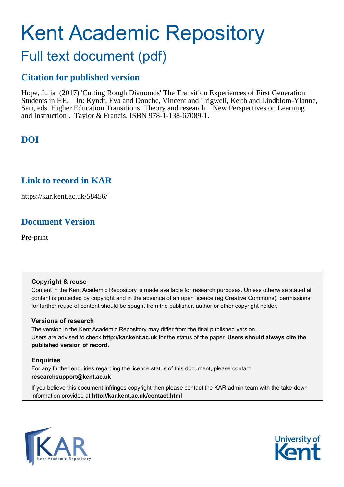# Kent Academic Repository

## Full text document (pdf)

## **Citation for published version**

Hope, Julia (2017) 'Cutting Rough Diamonds' The Transition Experiences of First Generation Students in HE. In: Kyndt, Eva and Donche, Vincent and Trigwell, Keith and Lindblom-Ylanne, Sari, eds. Higher Education Transitions: Theory and research. New Perspectives on Learning and Instruction . Taylor & Francis. ISBN 978-1-138-67089-1.

## **DOI**

## **Link to record in KAR**

https://kar.kent.ac.uk/58456/

## **Document Version**

Pre-print

## **Copyright & reuse**

Content in the Kent Academic Repository is made available for research purposes. Unless otherwise stated all content is protected by copyright and in the absence of an open licence (eg Creative Commons), permissions for further reuse of content should be sought from the publisher, author or other copyright holder.

## **Versions of research**

The version in the Kent Academic Repository may differ from the final published version. Users are advised to check **http://kar.kent.ac.uk** for the status of the paper. **Users should always cite the published version of record.**

## **Enquiries**

For any further enquiries regarding the licence status of this document, please contact: **researchsupport@kent.ac.uk**

If you believe this document infringes copyright then please contact the KAR admin team with the take-down information provided at **http://kar.kent.ac.uk/contact.html**



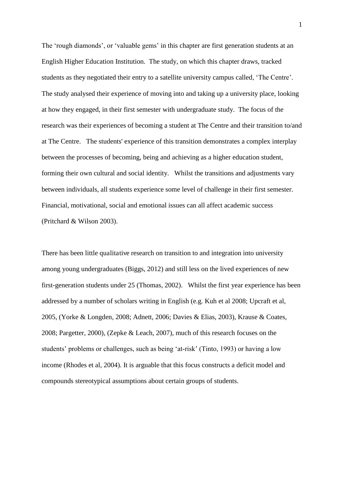The 'rough diamonds', or 'valuable gems' in this chapter are first generation students at an English Higher Education Institution. The study, on which this chapter draws, tracked students as they negotiated their entry to a satellite university campus called, 'The Centre'. The study analysed their experience of moving into and taking up a university place, looking at how they engaged, in their first semester with undergraduate study. The focus of the research was their experiences of becoming a student at The Centre and their transition to/and at The Centre. The students' experience of this transition demonstrates a complex interplay between the processes of becoming, being and achieving as a higher education student, forming their own cultural and social identity. Whilst the transitions and adjustments vary between individuals, all students experience some level of challenge in their first semester. Financial, motivational, social and emotional issues can all affect academic success (Pritchard & Wilson 2003).

There has been little qualitative research on transition to and integration into university among young undergraduates (Biggs, 2012) and still less on the lived experiences of new first-generation students under 25 (Thomas, 2002). Whilst the first year experience has been addressed by a number of scholars writing in English (e.g. Kuh et al 2008; Upcraft et al, 2005, (Yorke & Longden, 2008; Adnett, 2006; Davies & Elias, 2003), Krause & Coates, 2008; Pargetter, 2000), (Zepke & Leach, 2007), much of this research focuses on the students' problems or challenges, such as being 'at-risk' (Tinto, 1993) or having a low income (Rhodes et al, 2004). It is arguable that this focus constructs a deficit model and compounds stereotypical assumptions about certain groups of students.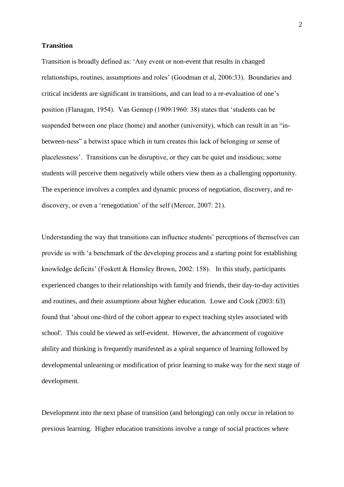## **Transition**

Transition is broadly defined as: 'Any event or non-event that results in changed relationships, routines, assumptions and roles' (Goodman et al, 2006:33). Boundaries and critical incidents are significant in transitions, and can lead to a re-evaluation of one's position (Flanagan, 1954). Van Gennep (1909/1960: 38) states that 'students can be suspended between one place (home) and another (university), which can result in an "inbetween-ness" a betwixt space which in turn creates this lack of belonging or sense of placelessness'. Transitions can be disruptive, or they can be quiet and insidious; some students will perceive them negatively while others view them as a challenging opportunity. The experience involves a complex and dynamic process of negotiation, discovery, and rediscovery, or even a 'renegotiation' of the self (Mercer, 2007: 21).

Understanding the way that transitions can influence students' perceptions of themselves can provide us with 'a benchmark of the developing process and a starting point for establishing knowledge deficits' (Foskett & Hemsley Brown, 2002: 158). In this study, participants experienced changes to their relationships with family and friends, their day-to-day activities and routines, and their assumptions about higher education. Lowe and Cook (2003: 63) found that 'about one-third of the cohort appear to expect teaching styles associated with school'. This could be viewed as self-evident. However, the advancement of cognitive ability and thinking is frequently manifested as a spiral sequence of learning followed by developmental unlearning or modification of prior learning to make way for the next stage of development.

Development into the next phase of transition (and belonging) can only occur in relation to previous learning. Higher education transitions involve a range of social practices where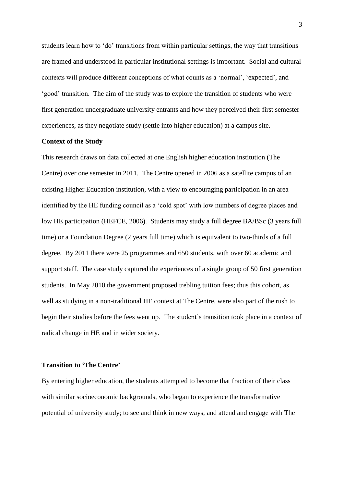students learn how to 'do' transitions from within particular settings, the way that transitions are framed and understood in particular institutional settings is important. Social and cultural contexts will produce different conceptions of what counts as a 'normal', 'expected', and 'good' transition. The aim of the study was to explore the transition of students who were first generation undergraduate university entrants and how they perceived their first semester experiences, as they negotiate study (settle into higher education) at a campus site.

## **Context of the Study**

This research draws on data collected at one English higher education institution (The Centre) over one semester in 2011. The Centre opened in 2006 as a satellite campus of an existing Higher Education institution, with a view to encouraging participation in an area identified by the HE funding council as a 'cold spot' with low numbers of degree places and low HE participation (HEFCE, 2006). Students may study a full degree BA/BSc (3 years full time) or a Foundation Degree (2 years full time) which is equivalent to two-thirds of a full degree. By 2011 there were 25 programmes and 650 students, with over 60 academic and support staff. The case study captured the experiences of a single group of 50 first generation students. In May 2010 the government proposed trebling tuition fees; thus this cohort, as well as studying in a non-traditional HE context at The Centre, were also part of the rush to begin their studies before the fees went up. The student's transition took place in a context of radical change in HE and in wider society.

## **Transition to 'The Centre'**

By entering higher education, the students attempted to become that fraction of their class with similar socioeconomic backgrounds, who began to experience the transformative potential of university study; to see and think in new ways, and attend and engage with The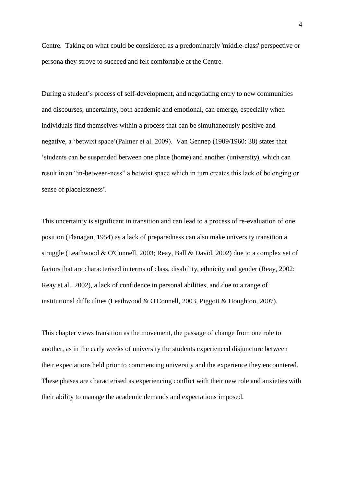Centre. Taking on what could be considered as a predominately 'middle-class' perspective or persona they strove to succeed and felt comfortable at the Centre.

During a student's process of self-development, and negotiating entry to new communities and discourses, uncertainty, both academic and emotional, can emerge, especially when individuals find themselves within a process that can be simultaneously positive and negative, a 'betwixt space'(Palmer et al. 2009). Van Gennep (1909/1960: 38) states that 'students can be suspended between one place (home) and another (university), which can result in an "in-between-ness" a betwixt space which in turn creates this lack of belonging or sense of placelessness'.

This uncertainty is significant in transition and can lead to a process of re-evaluation of one position (Flanagan, 1954) as a lack of preparedness can also make university transition a struggle (Leathwood & O'Connell, 2003; Reay, Ball & David, 2002) due to a complex set of factors that are characterised in terms of class, disability, ethnicity and gender (Reay, 2002; Reay et al., 2002), a lack of confidence in personal abilities, and due to a range of institutional difficulties (Leathwood & O'Connell, 2003, Piggott & Houghton, 2007).

This chapter views transition as the movement, the passage of change from one role to another, as in the early weeks of university the students experienced disjuncture between their expectations held prior to commencing university and the experience they encountered. These phases are characterised as experiencing conflict with their new role and anxieties with their ability to manage the academic demands and expectations imposed.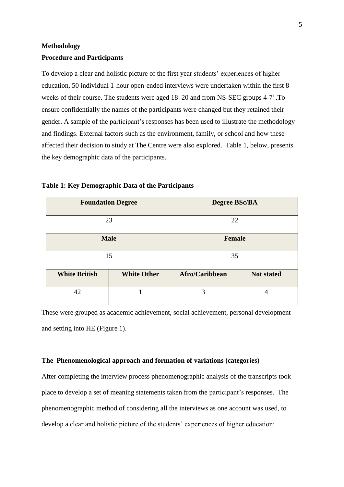## **Methodology Procedure and Participants**

To develop a clear and holistic picture of the first year students' experiences of higher education, 50 individual 1-hour open-ended interviews were undertaken within the first 8 weeks of their course. The students were aged 18–20 and from NS-SEC groups 4-7<sup>i</sup>. To ensure confidentially the names of the participants were changed but they retained their gender. A sample of the participant's responses has been used to illustrate the methodology and findings. External factors such as the environment, family, or school and how these affected their decision to study at The Centre were also explored. Table 1, below, presents the key demographic data of the participants.

| <b>Foundation Degree</b> |                    | <b>Degree BSc/BA</b> |                   |
|--------------------------|--------------------|----------------------|-------------------|
| 23                       |                    | 22                   |                   |
| <b>Male</b>              |                    | <b>Female</b>        |                   |
| 15                       |                    | 35                   |                   |
| <b>White British</b>     | <b>White Other</b> | Afro/Caribbean       | <b>Not stated</b> |
| 42                       |                    | 3                    | 4                 |

**Table 1: Key Demographic Data of the Participants** 

These were grouped as academic achievement, social achievement, personal development and setting into HE (Figure 1).

## **The Phenomenological approach and formation of variations (categories)**

After completing the interview process phenomenographic analysis of the transcripts took place to develop a set of meaning statements taken from the participant's responses. The phenomenographic method of considering all the interviews as one account was used, to develop a clear and holistic picture of the students' experiences of higher education: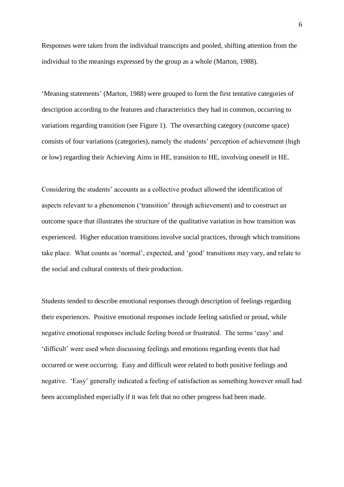Responses were taken from the individual transcripts and pooled, shifting attention from the individual to the meanings expressed by the group as a whole (Marton, 1988).

'Meaning statements' (Marton, 1988) were grouped to form the first tentative categories of description according to the features and characteristics they had in common, occurring to variations regarding transition (see Figure 1). The overarching category (outcome space) consists of four variations (categories), namely the students' perception of achievement (high or low) regarding their Achieving Aims in HE, transition to HE, involving oneself in HE.

Considering the students' accounts as a collective product allowed the identification of aspects relevant to a phenomenon ('transition' through achievement) and to construct an outcome space that illustrates the structure of the qualitative variation in how transition was experienced. Higher education transitions involve social practices, through which transitions take place. What counts as 'normal', expected, and 'good' transitions may vary, and relate to the social and cultural contexts of their production.

Students tended to describe emotional responses through description of feelings regarding their experiences. Positive emotional responses include feeling satisfied or proud, while negative emotional responses include feeling bored or frustrated. The terms 'easy' and 'difficult' were used when discussing feelings and emotions regarding events that had occurred or were occurring. Easy and difficult were related to both positive feelings and negative. 'Easy' generally indicated a feeling of satisfaction as something however small had been accomplished especially if it was felt that no other progress had been made.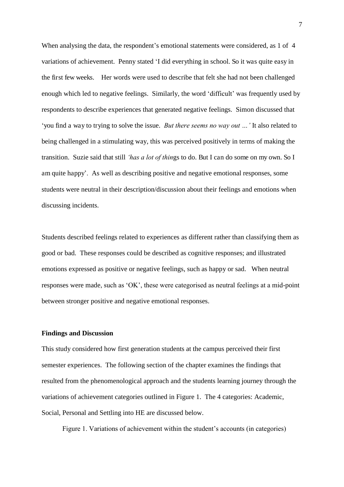When analysing the data, the respondent's emotional statements were considered, as 1 of 4 variations of achievement. Penny stated 'I did everything in school. So it was quite easy in the first few weeks. Her words were used to describe that felt she had not been challenged enough which led to negative feelings. Similarly, the word 'difficult' was frequently used by respondents to describe experiences that generated negative feelings. Simon discussed that 'you find a way to trying to solve the issue. *But there seems no way out …'* It also related to being challenged in a stimulating way, this was perceived positively in terms of making the transition. Suzie said that still *'has a lot of thin*gs to do. But I can do some on my own. So I am quite happy'. As well as describing positive and negative emotional responses, some students were neutral in their description/discussion about their feelings and emotions when discussing incidents.

Students described feelings related to experiences as different rather than classifying them as good or bad. These responses could be described as cognitive responses; and illustrated emotions expressed as positive or negative feelings, such as happy or sad. When neutral responses were made, such as 'OK', these were categorised as neutral feelings at a mid-point between stronger positive and negative emotional responses.

#### **Findings and Discussion**

This study considered how first generation students at the campus perceived their first semester experiences. The following section of the chapter examines the findings that resulted from the phenomenological approach and the students learning journey through the variations of achievement categories outlined in Figure 1. The 4 categories: Academic, Social, Personal and Settling into HE are discussed below.

Figure 1. Variations of achievement within the student's accounts (in categories)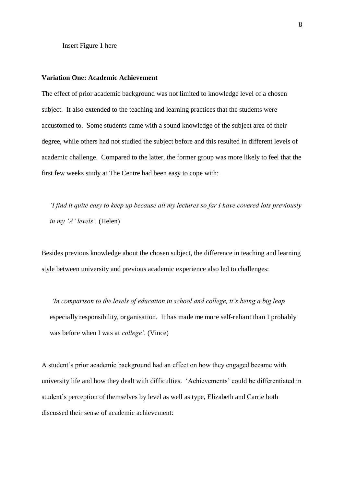Insert Figure 1 here

#### **Variation One: Academic Achievement**

The effect of prior academic background was not limited to knowledge level of a chosen subject. It also extended to the teaching and learning practices that the students were accustomed to. Some students came with a sound knowledge of the subject area of their degree, while others had not studied the subject before and this resulted in different levels of academic challenge. Compared to the latter, the former group was more likely to feel that the first few weeks study at The Centre had been easy to cope with:

*'I find it quite easy to keep up because all my lectures so far I have covered lots previously in my 'A' levels'.* (Helen)

Besides previous knowledge about the chosen subject, the difference in teaching and learning style between university and previous academic experience also led to challenges:

*'In comparison to the levels of education in school and college, it's being a big leap*  especially responsibility, organisation. It has made me more self-reliant than I probably was before when I was at *college'*. (Vince)

A student's prior academic background had an effect on how they engaged became with university life and how they dealt with difficulties. 'Achievements' could be differentiated in student's perception of themselves by level as well as type, Elizabeth and Carrie both discussed their sense of academic achievement: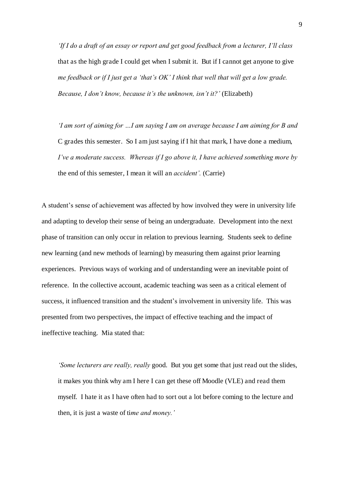*'If I do a draft of an essay or report and get good feedback from a lecturer, I'll class*  that as the high grade I could get when I submit it. But if I cannot get anyone to give *me feedback or if I just get a 'that's OK' I think that well that will get a low grade. Because, I don't know, because it's the unknown, isn't it?'* (Elizabeth)

*'I am sort of aiming for …I am saying I am on average because I am aiming for B and*  C grades this semester. So I am just saying if I hit that mark, I have done a medium, *I've a moderate success. Whereas if I go above it, I have achieved something more by*  the end of this semester, I mean it will an *accident'.* (Carrie)

A student's sense of achievement was affected by how involved they were in university life and adapting to develop their sense of being an undergraduate. Development into the next phase of transition can only occur in relation to previous learning. Students seek to define new learning (and new methods of learning) by measuring them against prior learning experiences. Previous ways of working and of understanding were an inevitable point of reference. In the collective account, academic teaching was seen as a critical element of success, it influenced transition and the student's involvement in university life. This was presented from two perspectives, the impact of effective teaching and the impact of ineffective teaching. Mia stated that:

*'Some lecturers are really, really* good. But you get some that just read out the slides, it makes you think why am I here I can get these off Moodle (VLE) and read them myself. I hate it as I have often had to sort out a lot before coming to the lecture and then, it is just a waste of ti*me and money.'*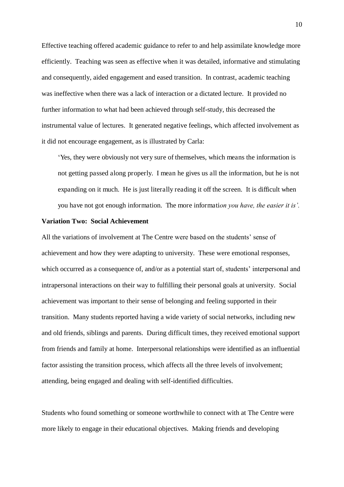Effective teaching offered academic guidance to refer to and help assimilate knowledge more efficiently. Teaching was seen as effective when it was detailed, informative and stimulating and consequently, aided engagement and eased transition. In contrast, academic teaching was ineffective when there was a lack of interaction or a dictated lecture. It provided no further information to what had been achieved through self-study, this decreased the instrumental value of lectures. It generated negative feelings, which affected involvement as it did not encourage engagement, as is illustrated by Carla:

'Yes, they were obviously not very sure of themselves, which means the information is not getting passed along properly. I mean he gives us all the information, but he is not expanding on it much. He is just literally reading it off the screen. It is difficult when you have not got enough information. The more informati*on you have, the easier it is'.*

## **Variation Two: Social Achievement**

All the variations of involvement at The Centre were based on the students' sense of achievement and how they were adapting to university. These were emotional responses, which occurred as a consequence of, and/or as a potential start of, students' interpersonal and intrapersonal interactions on their way to fulfilling their personal goals at university. Social achievement was important to their sense of belonging and feeling supported in their transition. Many students reported having a wide variety of social networks, including new and old friends, siblings and parents. During difficult times, they received emotional support from friends and family at home. Interpersonal relationships were identified as an influential factor assisting the transition process, which affects all the three levels of involvement; attending, being engaged and dealing with self-identified difficulties.

Students who found something or someone worthwhile to connect with at The Centre were more likely to engage in their educational objectives. Making friends and developing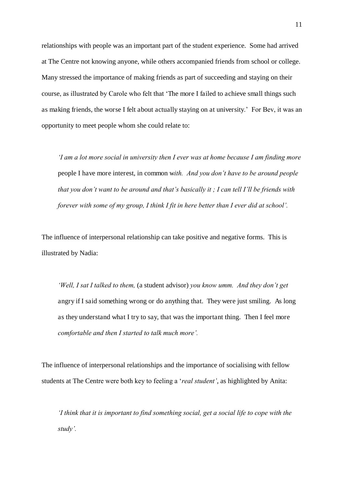relationships with people was an important part of the student experience. Some had arrived at The Centre not knowing anyone, while others accompanied friends from school or college. Many stressed the importance of making friends as part of succeeding and staying on their course, as illustrated by Carole who felt that 'The more I failed to achieve small things such as making friends, the worse I felt about actually staying on at university.' For Bev, it was an opportunity to meet people whom she could relate to:

*'I am a lot more social in university then I ever was at home because I am finding more*  people I have more interest, in common w*ith. And you don't have to be around people that you don't want to be around and that's basically it ; I can tell I'll be friends with forever with some of my group, I think I fit in here better than I ever did at school'.* 

The influence of interpersonal relationship can take positive and negative forms. This is illustrated by Nadia:

*'Well, I sat I talked to them,* (a student advisor) *you know umm. And they don't get*  angry if I said something wrong or do anything that. They were just smiling. As long as they understand what I try to say, that was the important thing. Then I feel more *comfortable and then I started to talk much more'.*

The influence of interpersonal relationships and the importance of socialising with fellow students at The Centre were both key to feeling a '*real student'*, as highlighted by Anita:

*'I think that it is important to find something social, get a social life to cope with the study'.*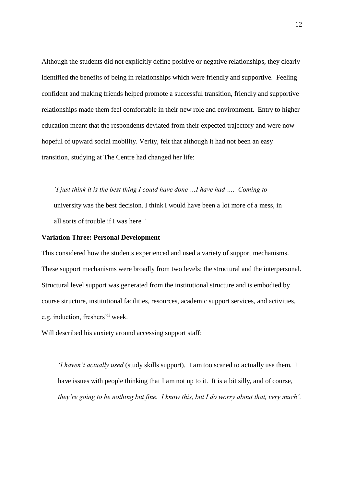Although the students did not explicitly define positive or negative relationships, they clearly identified the benefits of being in relationships which were friendly and supportive. Feeling confident and making friends helped promote a successful transition, friendly and supportive relationships made them feel comfortable in their new role and environment. Entry to higher education meant that the respondents deviated from their expected trajectory and were now hopeful of upward social mobility. Verity, felt that although it had not been an easy transition, studying at The Centre had changed her life:

*'I just think it is the best thing I could have done …I have had …. Coming to*  university was the best decision. I think I would have been a lot more of a mess, in all sorts of trouble if I was here*.'*

## **Variation Three: Personal Development**

This considered how the students experienced and used a variety of support mechanisms. These support mechanisms were broadly from two levels: the structural and the interpersonal. Structural level support was generated from the institutional structure and is embodied by course structure, institutional facilities, resources, academic support services, and activities, e.g. induction, freshers'ii week.

Will described his anxiety around accessing support staff:

*'I haven't actually used* (study skills support). I am too scared to actually use them. I have issues with people thinking that I am not up to it. It is a bit silly, and of course, *they're going to be nothing but fine. I know this, but I do worry about that, very much'.*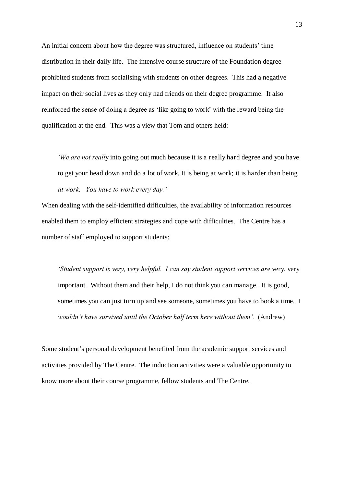An initial concern about how the degree was structured, influence on students' time distribution in their daily life. The intensive course structure of the Foundation degree prohibited students from socialising with students on other degrees. This had a negative impact on their social lives as they only had friends on their degree programme. It also reinforced the sense of doing a degree as 'like going to work' with the reward being the qualification at the end. This was a view that Tom and others held:

*'We are not reall*y into going out much because it is a really hard degree and you have to get your head down and do a lot of work. It is being at work; it is harder than being *at work. You have to work every day.'*

When dealing with the self-identified difficulties, the availability of information resources enabled them to employ efficient strategies and cope with difficulties. The Centre has a number of staff employed to support students:

*'Student support is very, very helpful. I can say student support services ar*e very, very important. Without them and their help, I do not think you can manage. It is good, sometimes you can just turn up and see someone, sometimes you have to book a time. I *wouldn't have survived until the October half term here without them'.* (Andrew)

Some student's personal development benefited from the academic support services and activities provided by The Centre. The induction activities were a valuable opportunity to know more about their course programme, fellow students and The Centre.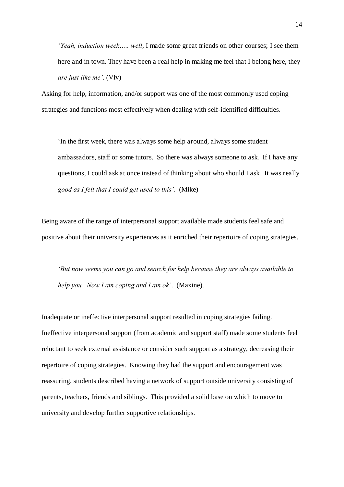*'Yeah, induction week….. well*, I made some great friends on other courses; I see them here and in town. They have been a real help in making me feel that I belong here, they *are just like me'*. (Viv)

Asking for help, information, and/or support was one of the most commonly used coping strategies and functions most effectively when dealing with self-identified difficulties.

'In the first week, there was always some help around, always some student ambassadors, staff or some tutors. So there was always someone to ask. If I have any questions, I could ask at once instead of thinking about who should I ask. It was really *good as I felt that I could get used to this'*. (Mike)

Being aware of the range of interpersonal support available made students feel safe and positive about their university experiences as it enriched their repertoire of coping strategies.

*'But now seems you can go and search for help because they are always available to help you. Now I am coping and I am ok'*. (Maxine).

Inadequate or ineffective interpersonal support resulted in coping strategies failing. Ineffective interpersonal support (from academic and support staff) made some students feel reluctant to seek external assistance or consider such support as a strategy, decreasing their repertoire of coping strategies. Knowing they had the support and encouragement was reassuring, students described having a network of support outside university consisting of parents, teachers, friends and siblings. This provided a solid base on which to move to university and develop further supportive relationships.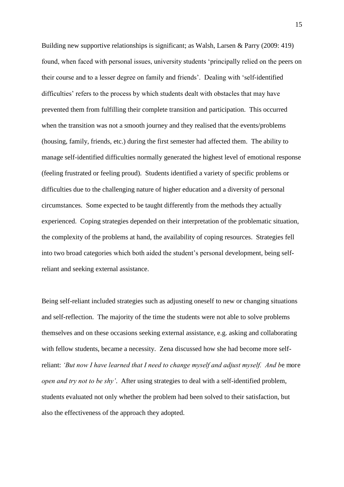Building new supportive relationships is significant; as Walsh, Larsen & Parry (2009: 419) found, when faced with personal issues, university students 'principally relied on the peers on their course and to a lesser degree on family and friends'. Dealing with 'self-identified difficulties' refers to the process by which students dealt with obstacles that may have prevented them from fulfilling their complete transition and participation. This occurred when the transition was not a smooth journey and they realised that the events/problems (housing, family, friends, etc.) during the first semester had affected them. The ability to manage self-identified difficulties normally generated the highest level of emotional response (feeling frustrated or feeling proud). Students identified a variety of specific problems or difficulties due to the challenging nature of higher education and a diversity of personal circumstances. Some expected to be taught differently from the methods they actually experienced. Coping strategies depended on their interpretation of the problematic situation, the complexity of the problems at hand, the availability of coping resources. Strategies fell into two broad categories which both aided the student's personal development, being selfreliant and seeking external assistance.

Being self-reliant included strategies such as adjusting oneself to new or changing situations and self-reflection. The majority of the time the students were not able to solve problems themselves and on these occasions seeking external assistance, e.g. asking and collaborating with fellow students, became a necessity. Zena discussed how she had become more selfreliant: *'But now I have learned that I need to change myself and adjust myself. And b*e more *open and try not to be shy'*. After using strategies to deal with a self-identified problem, students evaluated not only whether the problem had been solved to their satisfaction, but also the effectiveness of the approach they adopted.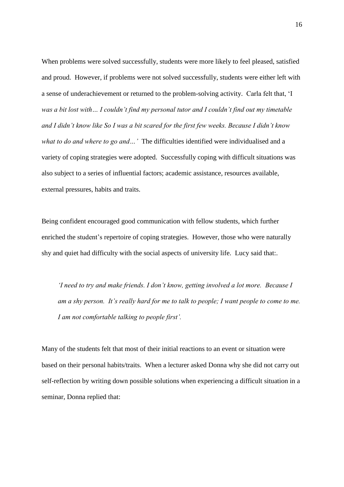When problems were solved successfully, students were more likely to feel pleased, satisfied and proud. However, if problems were not solved successfully, students were either left with a sense of underachievement or returned to the problem-solving activity. Carla felt that, 'I *was a bit lost with… I couldn't find my personal tutor and I couldn't find out my timetable and I didn't know like So I was a bit scared for the first few weeks. Because I didn't know what to do and where to go and…'* The difficulties identified were individualised and a variety of coping strategies were adopted. Successfully coping with difficult situations was also subject to a series of influential factors; academic assistance, resources available, external pressures, habits and traits.

Being confident encouraged good communication with fellow students, which further enriched the student's repertoire of coping strategies. However, those who were naturally shy and quiet had difficulty with the social aspects of university life. Lucy said that:.

*'I need to try and make friends. I don't know, getting involved a lot more. Because I am a shy person. It's really hard for me to talk to people; I want people to come to me. I am not comfortable talking to people first'.*

Many of the students felt that most of their initial reactions to an event or situation were based on their personal habits/traits. When a lecturer asked Donna why she did not carry out self-reflection by writing down possible solutions when experiencing a difficult situation in a seminar, Donna replied that: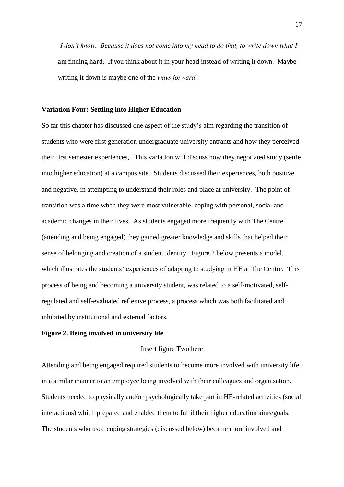*'I don't know. Because it does not come into my head to do that, to write down what I*  am finding hard. If you think about it in your head instead of writing it down. Maybe writing it down is maybe one of the *ways forward'.* 

#### **Variation Four: Settling into Higher Education**

So far this chapter has discussed one aspect of the study's aim regarding the transition of students who were first generation undergraduate university entrants and how they perceived their first semester experiences, This variation will discuss how they negotiated study (settle into higher education) at a campus site Students discussed their experiences, both positive and negative, in attempting to understand their roles and place at university. The point of transition was a time when they were most vulnerable, coping with personal, social and academic changes in their lives. As students engaged more frequently with The Centre (attending and being engaged) they gained greater knowledge and skills that helped their sense of belonging and creation of a student identity. Figure 2 below presents a model, which illustrates the students' experiences of adapting to studying in HE at The Centre. This process of being and becoming a university student, was related to a self-motivated, selfregulated and self-evaluated reflexive process, a process which was both facilitated and inhibited by institutional and external factors.

## **Figure 2. Being involved in university life**

## Insert figure Two here

Attending and being engaged required students to become more involved with university life, in a similar manner to an employee being involved with their colleagues and organisation. Students needed to physically and/or psychologically take part in HE-related activities (social interactions) which prepared and enabled them to fulfil their higher education aims/goals. The students who used coping strategies (discussed below) became more involved and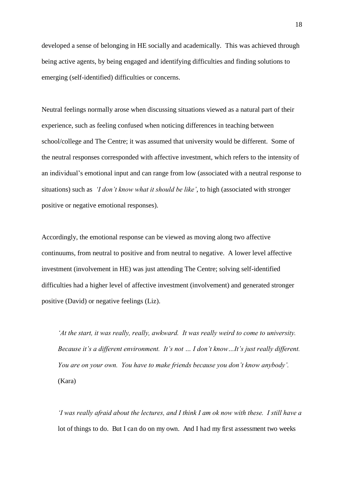developed a sense of belonging in HE socially and academically. This was achieved through being active agents, by being engaged and identifying difficulties and finding solutions to emerging (self-identified) difficulties or concerns.

Neutral feelings normally arose when discussing situations viewed as a natural part of their experience, such as feeling confused when noticing differences in teaching between school/college and The Centre; it was assumed that university would be different. Some of the neutral responses corresponded with affective investment, which refers to the intensity of an individual's emotional input and can range from low (associated with a neutral response to situations) such as *'I don't know what it should be like'*, to high (associated with stronger positive or negative emotional responses).

Accordingly, the emotional response can be viewed as moving along two affective continuums, from neutral to positive and from neutral to negative. A lower level affective investment (involvement in HE) was just attending The Centre; solving self-identified difficulties had a higher level of affective investment (involvement) and generated stronger positive (David) or negative feelings (Liz).

*'At the start, it was really, really, awkward. It was really weird to come to university. Because it's a different environment. It's not … I don't know…It's just really different. You are on your own. You have to make friends because you don't know anybody'.* (Kara)

*'I was really afraid about the lectures, and I think I am ok now with these. I still have a*  lot of things to do. But I can do on my own. And I had my first assessment two weeks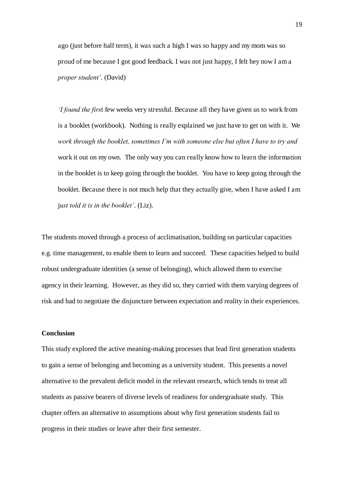ago (just before half term), it was such a high I was so happy and my mom was so proud of me because I got good feedback. I was not just happy, I felt hey now I am a *proper student'*. (David)

*'I found the firs*t few weeks very stressful. Because all they have given us to work from is a booklet (workbook). Nothing is really explained we just have to get on with it. We *work through the booklet, sometimes I'm with someone else but often I have to try and*  work it out on my own. The only way you can really know how to learn the information in the booklet is to keep going through the booklet. You have to keep going through the booklet. Because there is not much help that they actually give, when I have asked I am j*ust told it is in the booklet'*. (Liz).

The students moved through a process of acclimatisation, building on particular capacities e.g. time management, to enable them to learn and succeed. These capacities helped to build robust undergraduate identities (a sense of belonging), which allowed them to exercise agency in their learning. However, as they did so, they carried with them varying degrees of risk and had to negotiate the disjuncture between expectation and reality in their experiences.

#### **Conclusion**

This study explored the active meaning-making processes that lead first generation students to gain a sense of belonging and becoming as a university student. This presents a novel alternative to the prevalent deficit model in the relevant research, which tends to treat all students as passive bearers of diverse levels of readiness for undergraduate study. This chapter offers an alternative to assumptions about why first generation students fail to progress in their studies or leave after their first semester.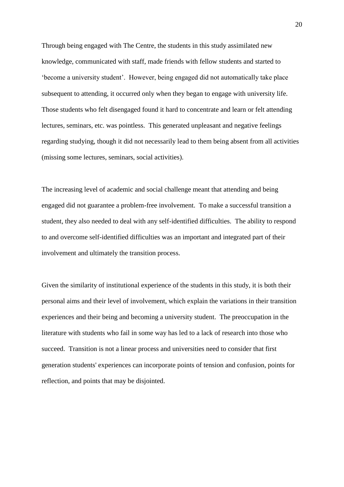Through being engaged with The Centre, the students in this study assimilated new knowledge, communicated with staff, made friends with fellow students and started to 'become a university student'. However, being engaged did not automatically take place subsequent to attending, it occurred only when they began to engage with university life. Those students who felt disengaged found it hard to concentrate and learn or felt attending lectures, seminars, etc. was pointless. This generated unpleasant and negative feelings regarding studying, though it did not necessarily lead to them being absent from all activities (missing some lectures, seminars, social activities).

The increasing level of academic and social challenge meant that attending and being engaged did not guarantee a problem-free involvement. To make a successful transition a student, they also needed to deal with any self-identified difficulties. The ability to respond to and overcome self-identified difficulties was an important and integrated part of their involvement and ultimately the transition process.

Given the similarity of institutional experience of the students in this study, it is both their personal aims and their level of involvement, which explain the variations in their transition experiences and their being and becoming a university student. The preoccupation in the literature with students who fail in some way has led to a lack of research into those who succeed. Transition is not a linear process and universities need to consider that first generation students' experiences can incorporate points of tension and confusion, points for reflection, and points that may be disjointed.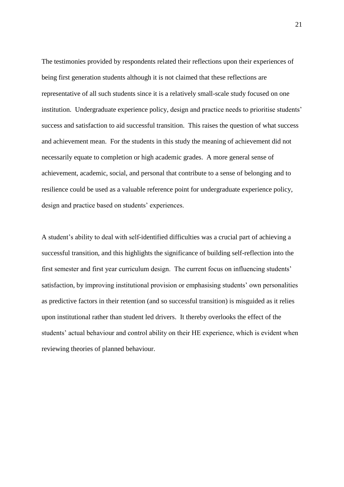The testimonies provided by respondents related their reflections upon their experiences of being first generation students although it is not claimed that these reflections are representative of all such students since it is a relatively small-scale study focused on one institution. Undergraduate experience policy, design and practice needs to prioritise students' success and satisfaction to aid successful transition. This raises the question of what success and achievement mean. For the students in this study the meaning of achievement did not necessarily equate to completion or high academic grades. A more general sense of achievement, academic, social, and personal that contribute to a sense of belonging and to resilience could be used as a valuable reference point for undergraduate experience policy, design and practice based on students' experiences.

A student's ability to deal with self-identified difficulties was a crucial part of achieving a successful transition, and this highlights the significance of building self-reflection into the first semester and first year curriculum design. The current focus on influencing students' satisfaction, by improving institutional provision or emphasising students' own personalities as predictive factors in their retention (and so successful transition) is misguided as it relies upon institutional rather than student led drivers. It thereby overlooks the effect of the students' actual behaviour and control ability on their HE experience, which is evident when reviewing theories of planned behaviour.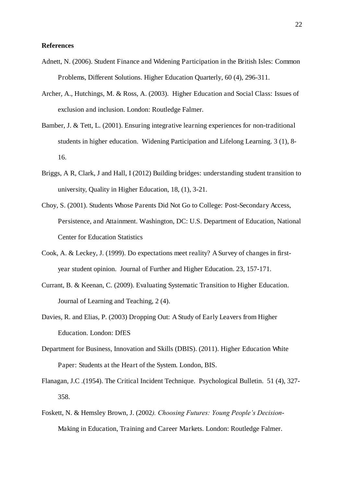#### **References**

- Adnett, N. (2006). Student Finance and Widening Participation in the British Isles: Common Problems, Different Solutions. Higher Education Quarterly, 60 (4), 296-311.
- Archer, A., Hutchings, M. & Ross, A. (2003). Higher Education and Social Class: Issues of exclusion and inclusion. London: Routledge Falmer.
- Bamber, J. & Tett, L. (2001). Ensuring integrative learning experiences for non-traditional students in higher education. Widening Participation and Lifelong Learning. 3 (1), 8- 16.
- Briggs, A R, Clark, J and Hall, I (2012) Building bridges: understanding student transition to university, Quality in Higher Education, 18, (1), 3-21.
- Choy, S. (2001). Students Whose Parents Did Not Go to College: Post-Secondary Access, Persistence, and Attainment. Washington, DC: U.S. Department of Education, National Center for Education Statistics
- Cook, A. & Leckey, J. (1999). Do expectations meet reality? A Survey of changes in firstyear student opinion. Journal of Further and Higher Education. 23, 157-171.
- Currant, B. & Keenan, C. (2009). Evaluating Systematic Transition to Higher Education. Journal of Learning and Teaching, 2 (4).
- Davies, R. and Elias, P. (2003) Dropping Out: A Study of Early Leavers from Higher Education. London: DfES
- Department for Business, Innovation and Skills (DBIS). (2011). Higher Education White Paper: Students at the Heart of the System. London, BIS.
- Flanagan, J.C .(1954). The Critical Incident Technique. Psychological Bulletin. 51 (4), 327- 358.
- Foskett, N. & Hemsley Brown, J. (2002*). Choosing Futures: Young People's Decision*-Making in Education, Training and Career Markets. London: Routledge Falmer.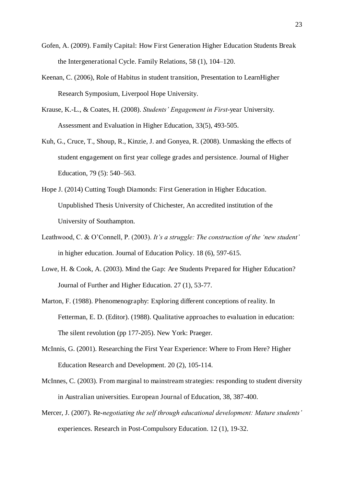- Gofen, A. (2009). Family Capital: How First Generation Higher Education Students Break the Intergenerational Cycle. Family Relations, 58 (1), 104–120.
- Keenan, C. (2006), Role of Habitus in student transition, Presentation to LearnHigher Research Symposium, Liverpool Hope University.
- Krause, K.-L., & Coates, H. (2008). *Students' Engagement in First*-year University. Assessment and Evaluation in Higher Education, 33(5), 493-505.
- Kuh, G., Cruce, T., Shoup, R., Kinzie, J. and Gonyea, R. (2008). Unmasking the effects of student engagement on first year college grades and persistence. Journal of Higher Education, 79 (5): 540–563.
- Hope J. (2014) Cutting Tough Diamonds: First Generation in Higher Education. Unpublished Thesis University of Chichester, An accredited institution of the University of Southampton.
- Leathwood, C. & O'Connell, P. (2003). *It's a struggle: The construction of the 'new student'*  in higher education. Journal of Education Policy. 18 (6), 597-615.
- Lowe, H. & Cook, A. (2003). Mind the Gap: Are Students Prepared for Higher Education? Journal of Further and Higher Education. 27 (1), 53-77.
- Marton, F. (1988). Phenomenography: Exploring different conceptions of reality. In Fetterman, E. D. (Editor). (1988). Qualitative approaches to evaluation in education: The silent revolution (pp 177-205). New York: Praeger.
- McInnis, G. (2001). Researching the First Year Experience: Where to From Here? Higher Education Research and Development. 20 (2), 105-114.
- McInnes, C. (2003). From marginal to mainstream strategies: responding to student diversity in Australian universities. European Journal of Education, 38, 387-400.
- Mercer, J. (2007). Re-*negotiating the self through educational development: Mature students'*  experiences. Research in Post-Compulsory Education. 12 (1), 19-32.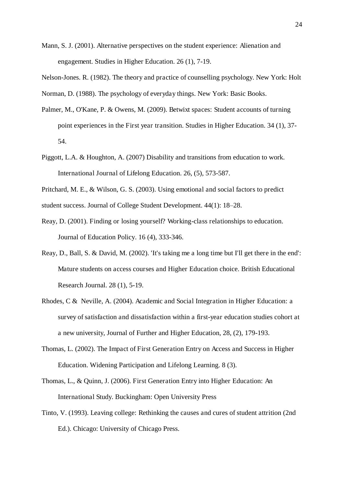Mann, S. J. (2001). Alternative perspectives on the student experience: Alienation and engagement. Studies in Higher Education. 26 (1), 7-19.

Nelson-Jones. R. (1982). The theory and practice of counselling psychology. New York: Holt

Norman, D. (1988). The psychology of everyday things. New York: Basic Books.

- Palmer, M., O'Kane, P. & Owens, M. (2009). Betwixt spaces: Student accounts of turning point experiences in the First year transition. Studies in Higher Education. 34 (1), 37- 54.
- Piggott, L.A. & Houghton, A. (2007) Disability and transitions from education to work. International Journal of Lifelong Education. 26, (5), 573-587.
- Pritchard, M. E., & Wilson, G. S. (2003). Using emotional and social factors to predict student success. Journal of College Student Development. 44(1): 18–28.
- Reay, D. (2001). Finding or losing yourself? Working-class relationships to education. Journal of Education Policy. 16 (4), 333-346.
- Reay, D., Ball, S. & David, M. (2002). 'It's taking me a long time but I'll get there in the end': Mature students on access courses and Higher Education choice. British Educational Research Journal. 28 (1), 5-19.
- Rhodes, C & Neville, A. (2004). Academic and Social Integration in Higher Education: a survey of satisfaction and dissatisfaction within a first-year education studies cohort at a new university, Journal of Further and Higher Education, 28, (2), 179-193.
- Thomas, L. (2002). The Impact of First Generation Entry on Access and Success in Higher Education. Widening Participation and Lifelong Learning. 8 (3).
- Thomas, L., & Quinn, J. (2006). First Generation Entry into Higher Education: An International Study. Buckingham: Open University Press
- Tinto, V. (1993). Leaving college: Rethinking the causes and cures of student attrition (2nd Ed.). Chicago: University of Chicago Press.